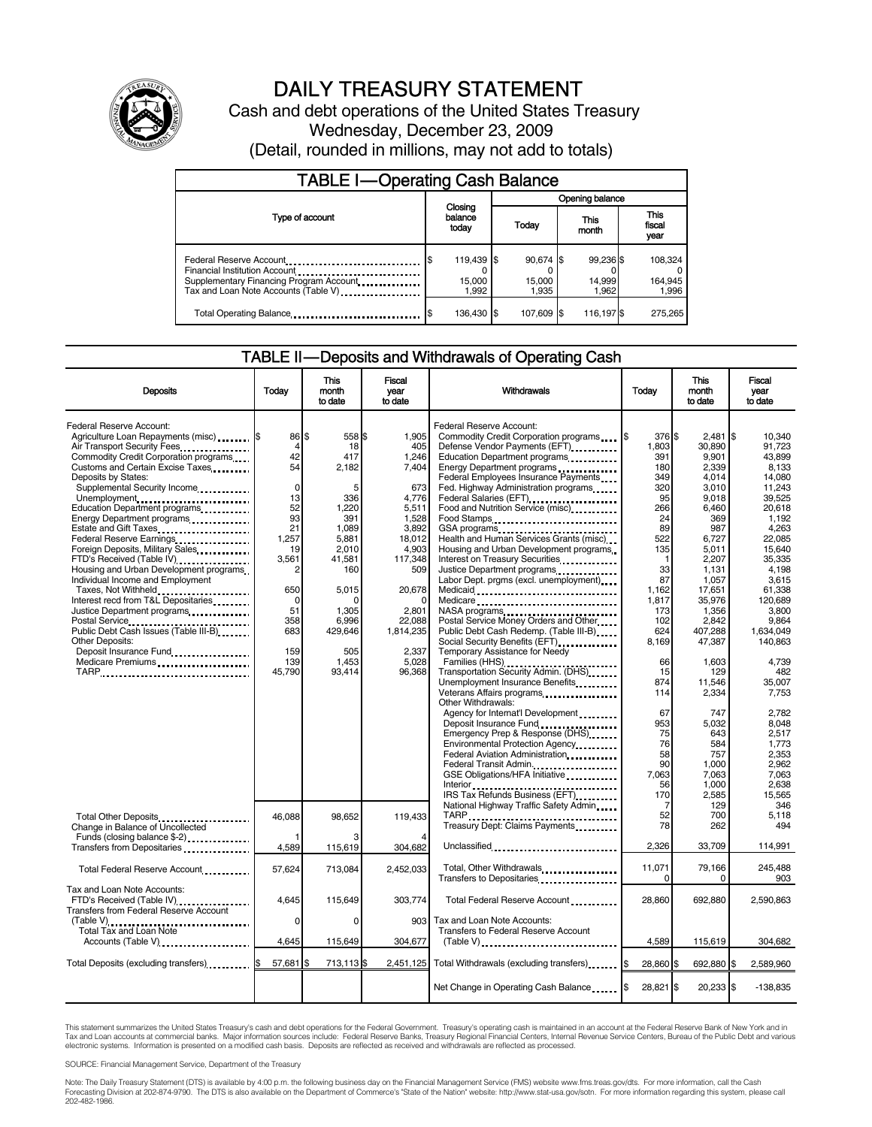

# DAILY TREASURY STATEMENT

Cash and debt operations of the United States Treasury Wednesday, December 23, 2009 (Detail, rounded in millions, may not add to totals)

| <b>TABLE I-Operating Cash Balance</b>                                                                                                       |                               |                              |                              |                               |  |  |
|---------------------------------------------------------------------------------------------------------------------------------------------|-------------------------------|------------------------------|------------------------------|-------------------------------|--|--|
|                                                                                                                                             |                               | Opening balance              |                              |                               |  |  |
| Type of account                                                                                                                             | Closing<br>balance<br>today   | Today                        | This<br>month                | <b>This</b><br>fiscal<br>year |  |  |
| Federal Reserve Account<br>Financial Institution Account<br>Supplementary Financing Program Account<br>Tax and Loan Note Accounts (Table V) | 119,439 \$<br>15,000<br>1.992 | 90,674 \$<br>15,000<br>1.935 | 99,236 \$<br>14,999<br>1.962 | 108,324<br>164,945<br>1,996   |  |  |
| Total Operating Balance                                                                                                                     | 136.430 \$                    | 107.609 \$                   | 116,197 \$                   | 275.265                       |  |  |

### TABLE II — Deposits and Withdrawals of Operating Cash

| <b>Deposits</b>                                                                                                                                                                                                                                                                                                                                                                                                                                                                                                                                                                                                                                                                                                                                                                                                                       | Today                                                                                                                                                        | <b>This</b><br>month<br>to date                                                                                                                                                 | <b>Fiscal</b><br>year<br>to date                                                                                                                                                          | Withdrawals                                                                                                                                                                                                                                                                                                                                                                                                                                                                                                                                                                                                                                                                                                                                                                                                                                                                                                                                                                                                                                                                                  | Today                                                                                                                                                                                                                                    | <b>This</b><br>month<br>to date                                                                                                                                                                                                                                                                         | <b>Fiscal</b><br>vear<br>to date                                                                                                                                                                                                                                                                                                        |
|---------------------------------------------------------------------------------------------------------------------------------------------------------------------------------------------------------------------------------------------------------------------------------------------------------------------------------------------------------------------------------------------------------------------------------------------------------------------------------------------------------------------------------------------------------------------------------------------------------------------------------------------------------------------------------------------------------------------------------------------------------------------------------------------------------------------------------------|--------------------------------------------------------------------------------------------------------------------------------------------------------------|---------------------------------------------------------------------------------------------------------------------------------------------------------------------------------|-------------------------------------------------------------------------------------------------------------------------------------------------------------------------------------------|----------------------------------------------------------------------------------------------------------------------------------------------------------------------------------------------------------------------------------------------------------------------------------------------------------------------------------------------------------------------------------------------------------------------------------------------------------------------------------------------------------------------------------------------------------------------------------------------------------------------------------------------------------------------------------------------------------------------------------------------------------------------------------------------------------------------------------------------------------------------------------------------------------------------------------------------------------------------------------------------------------------------------------------------------------------------------------------------|------------------------------------------------------------------------------------------------------------------------------------------------------------------------------------------------------------------------------------------|---------------------------------------------------------------------------------------------------------------------------------------------------------------------------------------------------------------------------------------------------------------------------------------------------------|-----------------------------------------------------------------------------------------------------------------------------------------------------------------------------------------------------------------------------------------------------------------------------------------------------------------------------------------|
| Federal Reserve Account:<br>Agriculture Loan Repayments (misc) [\$<br>Air Transport Security Fees<br>Commodity Credit Corporation programs<br>Customs and Certain Excise Taxes<br>Deposits by States:<br>Supplemental Security Income<br>Unemployment<br>Education Department programs<br>Energy Department programs<br>Estate and Gift Taxes<br>Federal Reserve Earnings<br>Foreign Deposits, Military Sales<br>FTD's Received (Table IV)<br>Housing and Urban Development programs<br>Individual Income and Employment<br>Taxes, Not Withheld<br>Interest recd from T&L Depositaries<br>Justice Department programs<br>Postal Service<br>Public Debt Cash Issues (Table III-B)<br><b>Other Deposits:</b><br>Deposit Insurance Fund <b>[1] Insurance</b> Fund <b>[1] Insurance</b> Fund <b>instance</b><br>Medicare Premiums<br>TARP | 86<br>$\overline{4}$<br>42<br>54<br>$\mathbf 0$<br>13<br>52<br>93<br>21<br>1,257<br>19<br>3,561<br>2<br>650<br>0<br>51<br>358<br>683<br>159<br>139<br>45,790 | \$<br>558 \$<br>18<br>417<br>2,182<br>5<br>336<br>1,220<br>391<br>1.089<br>5,881<br>2,010<br>41,581<br>160<br>5,015<br>n<br>1,305<br>6,996<br>429,646<br>505<br>1,453<br>93,414 | 1,905<br>405<br>1.246<br>7.404<br>673<br>4,776<br>5,511<br>1,528<br>3.892<br>18,012<br>4,903<br>117,348<br>509<br>20,678<br>n<br>2,801<br>22.088<br>1,814,235<br>2,337<br>5,028<br>96,368 | <b>Federal Reserve Account:</b><br>Commodity Credit Corporation programs \,\<br>Defense Vendor Payments (EFT)<br>Education Department programs<br>Energy Department programs<br>Federal Employees Insurance Payments.<br>Fed. Highway Administration programs<br>Federal Salaries (EFT)<br>Food and Nutrition Service (misc)<br>Food Stamps<br>Health and Human Services Grants (misc)<br>Housing and Urban Development programs<br>Interest on Treasury Securities<br>Justice Department programs<br>Labor Dept. prgms (excl. unemployment)<br>Medicare<br>Postal Service Money Orders and Other<br>Public Debt Cash Redemp. (Table III-B)<br>Temporary Assistance for Needy<br>Transportation Security Admin. (DHS)<br>Unemployment Insurance Benefits<br>Veterans Affairs programs<br>Other Withdrawals:<br>Agency for Internat'l Development<br>Deposit Insurance Fund<br>Emergency Prep & Response (DHS)<br>Environmental Protection Agency<br>Federal Aviation Administration<br>Federal Transit Admin<br>GSE Obligations/HFA Initiative<br>Interior<br>IRS Tax Refunds Business (EFT) | 376 \$<br>1.803<br>391<br>180<br>349<br>320<br>95<br>266<br>24<br>89<br>522<br>135<br>1<br>33<br>87<br>1,162<br>1,817<br>173<br>102<br>624<br>8,169<br>66<br>15<br>874<br>114<br>67<br>953<br>75<br>76<br>58<br>90<br>7.063<br>56<br>170 | 2,481<br>30.890<br>9.901<br>2,339<br>4.014<br>3,010<br>9.018<br>6,460<br>369<br>987<br>6.727<br>5,011<br>2,207<br>1,131<br>1,057<br>17,651<br>35,976<br>1,356<br>2,842<br>407,288<br>47,387<br>1,603<br>129<br>11.546<br>2,334<br>747<br>5,032<br>643<br>584<br>757<br>1,000<br>7.063<br>1,000<br>2,585 | \$<br>10,340<br>91.723<br>43.899<br>8.133<br>14,080<br>11,243<br>39,525<br>20,618<br>1.192<br>4.263<br>22,085<br>15,640<br>35,335<br>4.198<br>3.615<br>61,338<br>120,689<br>3.800<br>9.864<br>1.634.049<br>140,863<br>4,739<br>482<br>35.007<br>7,753<br>2.782<br>8,048<br>2,517<br>1,773<br>2,353<br>2.962<br>7.063<br>2,638<br>15,565 |
| Total Other Deposits<br>Change in Balance of Uncollected<br>Funds (closing balance \$-2)<br>Transfers from Depositaries                                                                                                                                                                                                                                                                                                                                                                                                                                                                                                                                                                                                                                                                                                               | 46,088<br>4.589                                                                                                                                              | 98,652<br>115,619                                                                                                                                                               | 119,433<br>304,682                                                                                                                                                                        | National Highway Traffic Safety Admin<br>TARP <u>.</u><br>Treasury Dept: Claims Payments<br>Unclassified                                                                                                                                                                                                                                                                                                                                                                                                                                                                                                                                                                                                                                                                                                                                                                                                                                                                                                                                                                                     | 7<br>52<br>78<br>2.326                                                                                                                                                                                                                   | 129<br>700<br>262<br>33,709                                                                                                                                                                                                                                                                             | 346<br>5,118<br>494<br>114,991                                                                                                                                                                                                                                                                                                          |
| Total Federal Reserve Account                                                                                                                                                                                                                                                                                                                                                                                                                                                                                                                                                                                                                                                                                                                                                                                                         | 57,624                                                                                                                                                       | 713,084                                                                                                                                                                         | 2,452,033                                                                                                                                                                                 | Total, Other Withdrawals<br>Transfers to Depositaries                                                                                                                                                                                                                                                                                                                                                                                                                                                                                                                                                                                                                                                                                                                                                                                                                                                                                                                                                                                                                                        | 11,071<br>$\Omega$                                                                                                                                                                                                                       | 79,166<br>0                                                                                                                                                                                                                                                                                             | 245.488<br>903                                                                                                                                                                                                                                                                                                                          |
| Tax and Loan Note Accounts:<br>FTD's Received (Table IV)<br>Transfers from Federal Reserve Account                                                                                                                                                                                                                                                                                                                                                                                                                                                                                                                                                                                                                                                                                                                                    | 4,645                                                                                                                                                        | 115,649                                                                                                                                                                         | 303,774                                                                                                                                                                                   | Total Federal Reserve Account                                                                                                                                                                                                                                                                                                                                                                                                                                                                                                                                                                                                                                                                                                                                                                                                                                                                                                                                                                                                                                                                | 28,860                                                                                                                                                                                                                                   | 692,880                                                                                                                                                                                                                                                                                                 | 2,590,863                                                                                                                                                                                                                                                                                                                               |
| Accounts (Table V)                                                                                                                                                                                                                                                                                                                                                                                                                                                                                                                                                                                                                                                                                                                                                                                                                    | 0<br>4,645                                                                                                                                                   | $\Omega$<br>115,649                                                                                                                                                             | 903<br>304,677                                                                                                                                                                            | Tax and Loan Note Accounts:<br>Transfers to Federal Reserve Account<br>$(Table V)$                                                                                                                                                                                                                                                                                                                                                                                                                                                                                                                                                                                                                                                                                                                                                                                                                                                                                                                                                                                                           | 4,589                                                                                                                                                                                                                                    | 115,619                                                                                                                                                                                                                                                                                                 | 304,682                                                                                                                                                                                                                                                                                                                                 |
| Total Deposits (excluding transfers) [65]                                                                                                                                                                                                                                                                                                                                                                                                                                                                                                                                                                                                                                                                                                                                                                                             | 57,681 \$                                                                                                                                                    | 713,113 \$                                                                                                                                                                      | 2,451,125                                                                                                                                                                                 | Total Withdrawals (excluding transfers) [\$                                                                                                                                                                                                                                                                                                                                                                                                                                                                                                                                                                                                                                                                                                                                                                                                                                                                                                                                                                                                                                                  | 28,860 \$                                                                                                                                                                                                                                | 692,880                                                                                                                                                                                                                                                                                                 | 2,589,960<br>\$                                                                                                                                                                                                                                                                                                                         |
|                                                                                                                                                                                                                                                                                                                                                                                                                                                                                                                                                                                                                                                                                                                                                                                                                                       |                                                                                                                                                              |                                                                                                                                                                                 |                                                                                                                                                                                           | Net Change in Operating Cash Balance                                                                                                                                                                                                                                                                                                                                                                                                                                                                                                                                                                                                                                                                                                                                                                                                                                                                                                                                                                                                                                                         | 28,821 \$                                                                                                                                                                                                                                | 20,233 \$                                                                                                                                                                                                                                                                                               | $-138,835$                                                                                                                                                                                                                                                                                                                              |

This statement summarizes the United States Treasury's cash and debt operations for the Federal Government. Treasury's operating cash is maintained in an account at the Federal Reserve Bank of New York and in<br>Tax and Loan

SOURCE: Financial Management Service, Department of the Treasury

Note: The Daily Treasury Statement (DTS) is available by 4:00 p.m. the following business day on the Financial Management Service (FMS) website www.fms.treas.gov/dts. For more information, call the Cash Forecasting Division at 202-874-9790. The DTS is also available on the Department of Commerce's "State of the Nation" website: http://www.stat-usa.gov/sotn. For more information regarding this system, please call<br>202-482-1